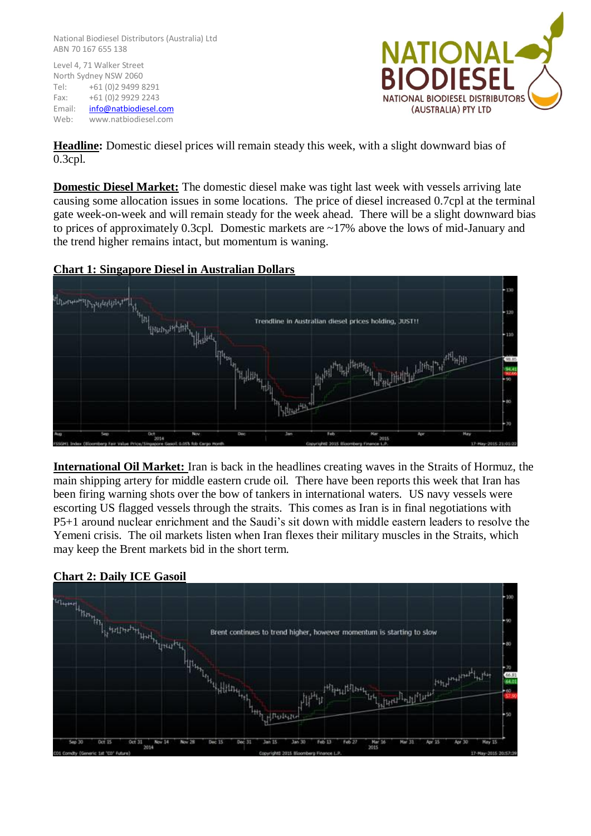National Biodiesel Distributors (Australia) Ltd ABN 70 167 655 138

Level 4, 71 Walker Street North Sydney NSW 2060 Tel: +61 (0)2 9499 8291 Fax: +61 (0)2 9929 2243 Email: [info@natbiodiesel.com](mailto:info@natbiodiesel.com) Web: www.natbiodiesel.com



**Headline:** Domestic diesel prices will remain steady this week, with a slight downward bias of 0.3cpl.

**Domestic Diesel Market:** The domestic diesel make was tight last week with vessels arriving late causing some allocation issues in some locations. The price of diesel increased 0.7cpl at the terminal gate week-on-week and will remain steady for the week ahead. There will be a slight downward bias to prices of approximately 0.3cpl. Domestic markets are ~17% above the lows of mid-January and the trend higher remains intact, but momentum is waning.

## **Chart 1: Singapore Diesel in Australian Dollars**



**International Oil Market:** Iran is back in the headlines creating waves in the Straits of Hormuz, the main shipping artery for middle eastern crude oil. There have been reports this week that Iran has been firing warning shots over the bow of tankers in international waters. US navy vessels were escorting US flagged vessels through the straits. This comes as Iran is in final negotiations with P5+1 around nuclear enrichment and the Saudi's sit down with middle eastern leaders to resolve the Yemeni crisis. The oil markets listen when Iran flexes their military muscles in the Straits, which may keep the Brent markets bid in the short term.



## **Chart 2: Daily ICE Gasoil**